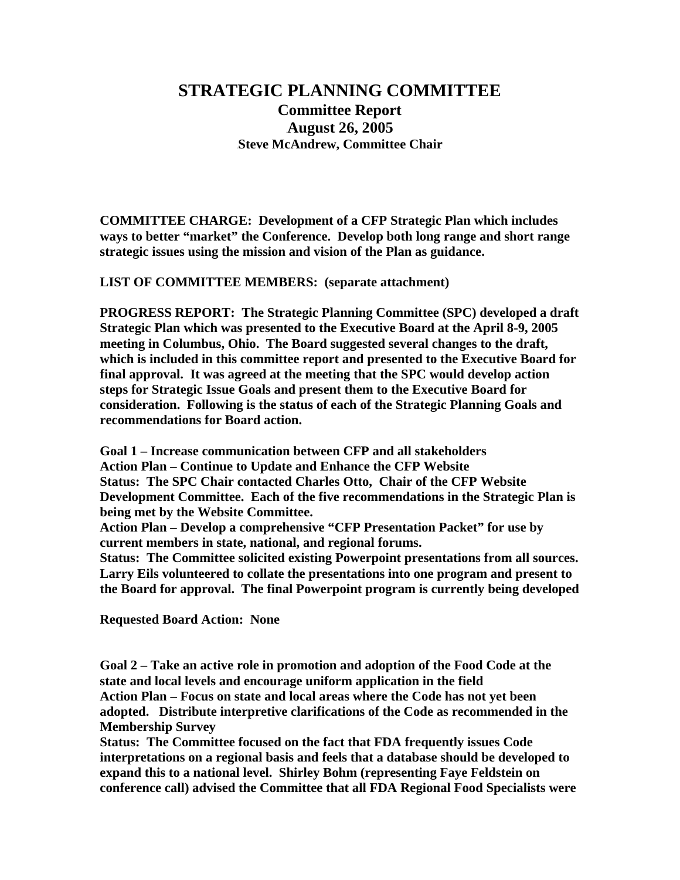## **STRATEGIC PLANNING COMMITTEE Committee Report**  0B**August 26, 2005 Steve McAndrew, Committee Chair**

**COMMITTEE CHARGE: Development of a CFP Strategic Plan which includes ways to better "market" the Conference. Develop both long range and short range strategic issues using the mission and vision of the Plan as guidance.** 

**LIST OF COMMITTEE MEMBERS: (separate attachment)** 

**PROGRESS REPORT: The Strategic Planning Committee (SPC) developed a draft Strategic Plan which was presented to the Executive Board at the April 8-9, 2005 meeting in Columbus, Ohio. The Board suggested several changes to the draft, which is included in this committee report and presented to the Executive Board for final approval. It was agreed at the meeting that the SPC would develop action steps for Strategic Issue Goals and present them to the Executive Board for consideration. Following is the status of each of the Strategic Planning Goals and recommendations for Board action.** 

**Goal 1 – Increase communication between CFP and all stakeholders Action Plan – Continue to Update and Enhance the CFP Website Status: The SPC Chair contacted Charles Otto, Chair of the CFP Website Development Committee. Each of the five recommendations in the Strategic Plan is being met by the Website Committee.** 

**Action Plan – Develop a comprehensive "CFP Presentation Packet" for use by current members in state, national, and regional forums.** 

**Status: The Committee solicited existing Powerpoint presentations from all sources. Larry Eils volunteered to collate the presentations into one program and present to the Board for approval. The final Powerpoint program is currently being developed** 

**Requested Board Action: None** 

**Goal 2 – Take an active role in promotion and adoption of the Food Code at the state and local levels and encourage uniform application in the field Action Plan – Focus on state and local areas where the Code has not yet been adopted. Distribute interpretive clarifications of the Code as recommended in the Membership Survey** 

**Status: The Committee focused on the fact that FDA frequently issues Code interpretations on a regional basis and feels that a database should be developed to expand this to a national level. Shirley Bohm (representing Faye Feldstein on conference call) advised the Committee that all FDA Regional Food Specialists were**